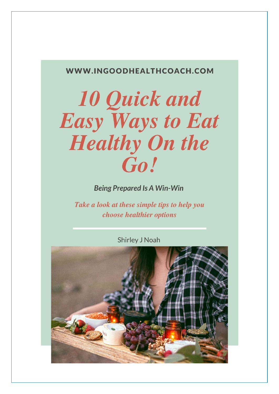#### WWW.INGOODHEALTHCOACH.COM

# **10 Quick and Easy Ways to Eat Healthy On the** Go!

**Being Prepared Is A Win-Win** 

Take a look at these simple tips to help you choose healthier options

**Shirley J Noah** 

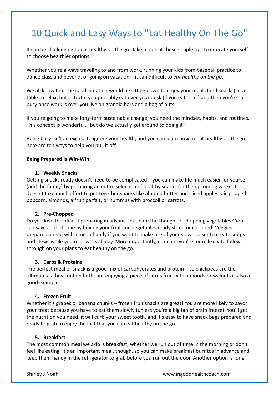## 10 Quick and Easy Ways to "Eat Healthy On The Go"

It can be challenging to eat healthy on the go. Take a look at these simple tips to educate yourself to choose healthier options.

Whether you're always traveling to and from work, running your kids from baseball practice to dance class and beyond, or going on vacation – it can difficult to *eat healthy on the go*.

We all know that the ideal situation would be sitting down to enjoy your meals (and snacks) at a table to relax, but in truth, you probably eat over your desk (if you eat at all) and then you're so busy once work is over you live on granola bars and a bag of nuts.

If you're going to make long-term sustainable change, you need the mindset, habits, and routines. This concept is wonderful… but do we actually get around to doing it?

Being busy isn't an excuse to ignore your health, and you can learn how to eat healthy on the go; here are ten ways to help you pull it off.

#### **Being Prepared Is Win-Win**

#### **1. Weekly Snacks**

Getting snacks ready doesn't need to be complicated – you can make life much easier for yourself (and the family) by preparing an entire selection of healthy snacks for the upcoming week. It doesn't take much effort to put together snacks like almond butter and sliced apples, air-popped popcorn, almonds, a fruit parfait, or hummus with broccoli or carrots.

#### **2. Pre-Chopped**

Do you love the idea of preparing in advance but hate the thought of chopping vegetables? You can save a lot of time by buying your fruit and vegetables ready sliced or chopped. Veggies prepared ahead will come in handy if you want to make use of your slow-cooker to create soups and stews while you're at work all day. More importantly, it means you're more likely to follow through on your plans to eat healthy on the go.

#### **3. Carbs & Proteins**

The perfect meal or snack is a good mix of carbohydrates and protein – so chickpeas are the ultimate as they contain both, but enjoying a piece of citrus fruit with almonds or walnuts is also a good example.

#### **4. Frozen Fruit**

Whether it's grapes or banana chunks – frozen fruit snacks are great! You are more likely to savor your treat because you have to eat them slowly (unless you're a big fan of brain freeze). You'll get the nutrition you need, it will curb your sweet tooth, and it's easy to have snack bags prepared and ready to grab to enjoy the fact that you can eat healthy on the go.

#### **5. Breakfast**

The most common meal we skip is breakfast, whether we run out of time in the morning or don't feel like eating. It's an important meal, though, so you can make breakfast burritos in advance and keep them handy in the refrigerator to grab before you run out the door. Another option is for a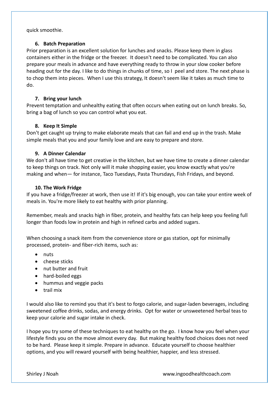quick smoothie.

#### **6. Batch Preparation**

Prior preparation is an excellent solution for lunches and snacks. Please keep them in glass containers either in the fridge or the freezer. It doesn't need to be complicated. You can also prepare your meals in advance and have everything ready to throw in your slow cooker before heading out for the day. I like to do things in chunks of time, so I peel and store. The next phase is to chop them into pieces. When I use this strategy, It doesn't seem like it takes as much time to do.

#### **7. Bring your lunch**

Prevent temptation and unhealthy eating that often occurs when eating out on lunch breaks. So, bring a bag of lunch so you can control what you eat.

#### **8. Keep It Simple**

Don't get caught up trying to make elaborate meals that can fail and end up in the trash. Make simple meals that you and your family love and are easy to prepare and store.

#### **9. A Dinner Calendar**

We don't all have time to get creative in the kitchen, but we have time to create a dinner calendar to keep things on track. Not only will it make shopping easier, you know exactly what you're making and when— for instance, Taco Tuesdays, Pasta Thursdays, Fish Fridays, and beyond.

#### **10. The Work Fridge**

If you have a fridge/freezer at work, then use it! If it's big enough, you can take your entire week of meals in. You're more likely to eat healthy with prior planning.

Remember, meals and snacks high in fiber, protein, and healthy fats can help keep you feeling full longer than foods low in protein and high in refined carbs and added sugars.

When choosing a snack item from the convenience store or gas station, opt for minimally processed, protein- and fiber-rich items, such as:

- nuts
- cheese sticks
- nut butter and fruit
- hard-boiled eggs
- hummus and veggie packs
- trail mix

I would also like to remind you that it's best to forgo calorie, and sugar-laden beverages, including sweetened coffee drinks, sodas, and energy drinks. Opt for water or unsweetened herbal teas to keep your calorie and sugar intake in check.

I hope you try some of these techniques to eat healthy on the go. I know how you feel when your lifestyle finds you on the move almost every day. But making healthy food choices does not need to be hard. Please keep it simple. Prepare in advance. Educate yourself to choose healthier options, and you will reward yourself with being healthier, happier, and less stressed.